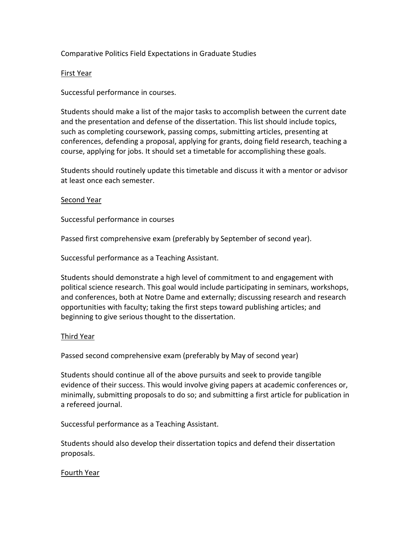# Comparative Politics Field Expectations in Graduate Studies

### First Year

Successful performance in courses.

Students should make a list of the major tasks to accomplish between the current date and the presentation and defense of the dissertation. This list should include topics, such as completing coursework, passing comps, submitting articles, presenting at conferences, defending a proposal, applying for grants, doing field research, teaching a course, applying for jobs. It should set a timetable for accomplishing these goals.

Students should routinely update this timetable and discuss it with a mentor or advisor at least once each semester.

### Second Year

Successful performance in courses

Passed first comprehensive exam (preferably by September of second year).

Successful performance as a Teaching Assistant.

Students should demonstrate a high level of commitment to and engagement with political science research. This goal would include participating in seminars, workshops, and conferences, both at Notre Dame and externally; discussing research and research opportunities with faculty; taking the first steps toward publishing articles; and beginning to give serious thought to the dissertation.

#### Third Year

Passed second comprehensive exam (preferably by May of second year)

Students should continue all of the above pursuits and seek to provide tangible evidence of their success. This would involve giving papers at academic conferences or, minimally, submitting proposals to do so; and submitting a first article for publication in a refereed journal.

Successful performance as a Teaching Assistant.

Students should also develop their dissertation topics and defend their dissertation proposals.

## Fourth Year